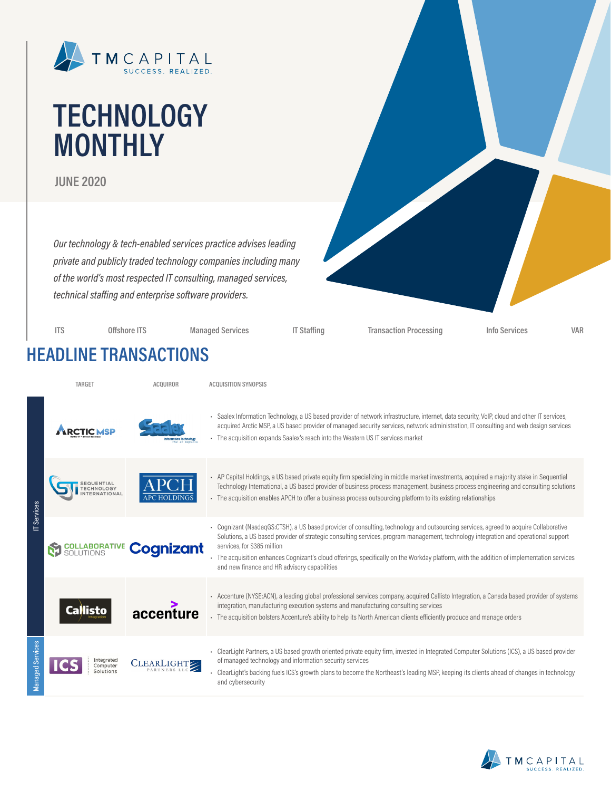

# **TECHNOLOGY MONTHLY**

**JUNE 2020**

*Our technology & tech-enabled services practice advises leading private and publicly traded technology companies including many of the world's most respected IT consulting, managed services, technical staffing and enterprise software providers.*

**ITS Offshore ITS Managed Services IT Staffing Transaction Processing Info Services VAR HEADLINE TRANSACTIONS TARGET ACQUIROR ACQUISITION SYNOPSIS**

| IT Services         |                                     |            | · Saalex Information Technology, a US based provider of network infrastructure, internet, data security, VoIP, cloud and other IT services,<br>acquired Arctic MSP, a US based provider of managed security services, network administration, IT consulting and web design services<br>- The acquisition expands Saalex's reach into the Western US IT services market                                                                                                                                 |
|---------------------|-------------------------------------|------------|--------------------------------------------------------------------------------------------------------------------------------------------------------------------------------------------------------------------------------------------------------------------------------------------------------------------------------------------------------------------------------------------------------------------------------------------------------------------------------------------------------|
|                     |                                     |            | . AP Capital Holdings, a US based private equity firm specializing in middle market investments, acquired a majority stake in Sequential<br>Technology International, a US based provider of business process management, business process engineering and consulting solutions<br>- The acquisition enables APCH to offer a business process outsourcing platform to its existing relationships                                                                                                       |
|                     |                                     | Cognizant  | Cognizant (NasdagGS:CTSH), a US based provider of consulting, technology and outsourcing services, agreed to acquire Collaborative<br>Solutions, a US based provider of strategic consulting services, program management, technology integration and operational support<br>services, for \$385 million<br>- The acquisition enhances Cognizant's cloud offerings, specifically on the Workday platform, with the addition of implementation services<br>and new finance and HR advisory capabilities |
|                     | Callisto                            | accenture  | - Accenture (NYSE:ACN), a leading global professional services company, acquired Callisto Integration, a Canada based provider of systems<br>integration, manufacturing execution systems and manufacturing consulting services<br>- The acquisition bolsters Accenture's ability to help its North American clients efficiently produce and manage orders                                                                                                                                             |
| Services<br>Managed | Integrated<br>Computer<br>Solutions | CLEARLIGHT | - ClearLight Partners, a US based growth oriented private equity firm, invested in Integrated Computer Solutions (ICS), a US based provider<br>of managed technology and information security services<br>ClearLight's backing fuels ICS's growth plans to become the Northeast's leading MSP, keeping its clients ahead of changes in technology<br>and cybersecurity                                                                                                                                 |

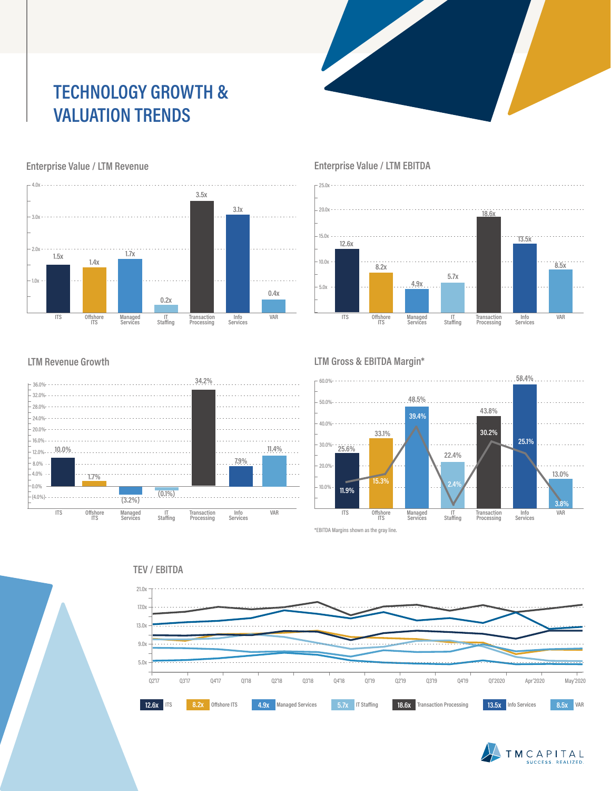# **TECHNOLOGY GROWTH & VALUATION TRENDS**



### Enterprise Value / LTM Revenue **Enterprise Value / LTM EBITDA**

25.0x



#### **LTM Revenue Growth**



#### **LTM Gross & EBITDA Margin\***



\*EBITDA Margins shown as the gray line.





#### **TEV / EBITDA**

![](_page_1_Figure_12.jpeg)